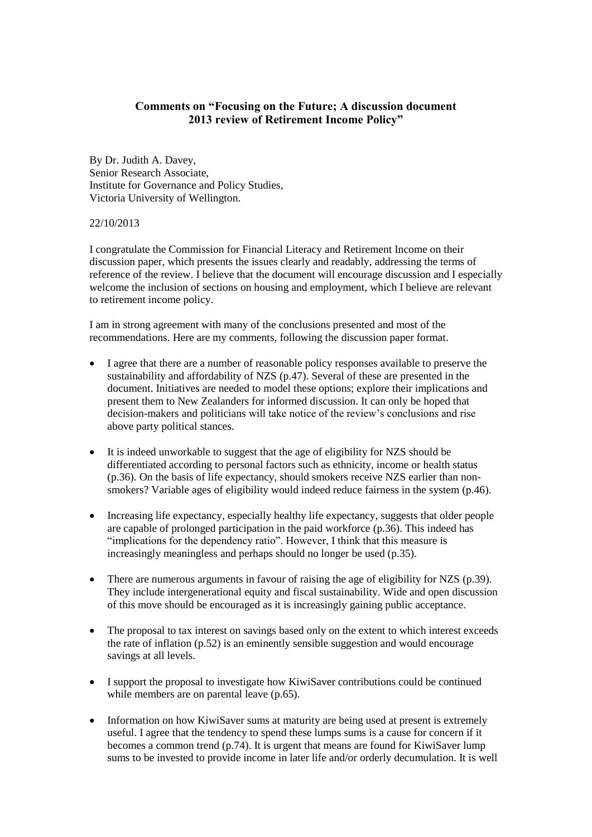## **Comments on "Focusing on the Future; A discussion document 2013 review of Retirement Income Policy"**

By Dr. Judith A. Davey, Senior Research Associate, Institute for Governance and Policy Studies, Victoria University of Wellington.

## 22/10/2013

I congratulate the Commission for Financial Literacy and Retirement Income on their discussion paper, which presents the issues clearly and readably, addressing the terms of reference of the review. I believe that the document will encourage discussion and I especially welcome the inclusion of sections on housing and employment, which I believe are relevant to retirement income policy.

I am in strong agreement with many of the conclusions presented and most of the recommendations. Here are my comments, following the discussion paper format.

- I agree that there are a number of reasonable policy responses available to preserve the sustainability and affordability of NZS (p.47). Several of these are presented in the document. Initiatives are needed to model these options; explore their implications and present them to New Zealanders for informed discussion. It can only be hoped that decision-makers and politicians will take notice of the review's conclusions and rise above party political stances.
- It is indeed unworkable to suggest that the age of eligibility for NZS should be differentiated according to personal factors such as ethnicity, income or health status (p.36). On the basis of life expectancy, should smokers receive NZS earlier than nonsmokers? Variable ages of eligibility would indeed reduce fairness in the system (p.46).
- Increasing life expectancy, especially healthy life expectancy, suggests that older people are capable of prolonged participation in the paid workforce (p.36). This indeed has "implications for the dependency ratio". However, I think that this measure is increasingly meaningless and perhaps should no longer be used (p.35).
- There are numerous arguments in favour of raising the age of eligibility for NZS (p.39). They include intergenerational equity and fiscal sustainability. Wide and open discussion of this move should be encouraged as it is increasingly gaining public acceptance.
- The proposal to tax interest on savings based only on the extent to which interest exceeds the rate of inflation (p.52) is an eminently sensible suggestion and would encourage savings at all levels.
- I support the proposal to investigate how KiwiSaver contributions could be continued while members are on parental leave (p.65).
- Information on how KiwiSaver sums at maturity are being used at present is extremely useful. I agree that the tendency to spend these lumps sums is a cause for concern if it becomes a common trend (p.74). It is urgent that means are found for KiwiSaver lump sums to be invested to provide income in later life and/or orderly decumulation. It is well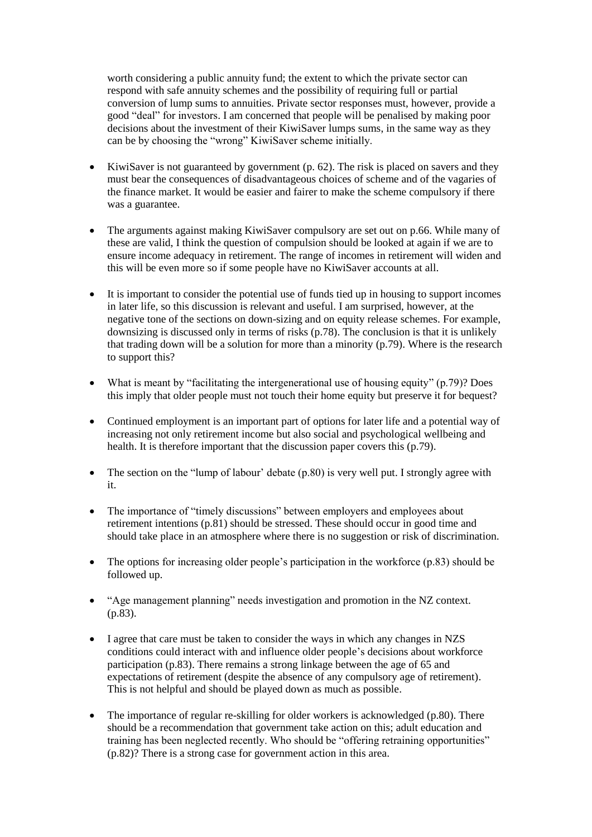worth considering a public annuity fund; the extent to which the private sector can respond with safe annuity schemes and the possibility of requiring full or partial conversion of lump sums to annuities. Private sector responses must, however, provide a good "deal" for investors. I am concerned that people will be penalised by making poor decisions about the investment of their KiwiSaver lumps sums, in the same way as they can be by choosing the "wrong" KiwiSaver scheme initially.

- $\bullet$  KiwiSaver is not guaranteed by government (p. 62). The risk is placed on savers and they must bear the consequences of disadvantageous choices of scheme and of the vagaries of the finance market. It would be easier and fairer to make the scheme compulsory if there was a guarantee.
- The arguments against making KiwiSaver compulsory are set out on p.66. While many of these are valid, I think the question of compulsion should be looked at again if we are to ensure income adequacy in retirement. The range of incomes in retirement will widen and this will be even more so if some people have no KiwiSaver accounts at all.
- It is important to consider the potential use of funds tied up in housing to support incomes in later life, so this discussion is relevant and useful. I am surprised, however, at the negative tone of the sections on down-sizing and on equity release schemes. For example, downsizing is discussed only in terms of risks (p.78). The conclusion is that it is unlikely that trading down will be a solution for more than a minority (p.79). Where is the research to support this?
- What is meant by "facilitating the intergenerational use of housing equity" (p.79)? Does this imply that older people must not touch their home equity but preserve it for bequest?
- Continued employment is an important part of options for later life and a potential way of increasing not only retirement income but also social and psychological wellbeing and health. It is therefore important that the discussion paper covers this (p.79).
- The section on the "lump of labour" debate (p.80) is very well put. I strongly agree with it.
- The importance of "timely discussions" between employers and employees about retirement intentions (p.81) should be stressed. These should occur in good time and should take place in an atmosphere where there is no suggestion or risk of discrimination.
- The options for increasing older people's participation in the workforce (p.83) should be followed up.
- "Age management planning" needs investigation and promotion in the NZ context. (p.83).
- I agree that care must be taken to consider the ways in which any changes in NZS conditions could interact with and influence older people's decisions about workforce participation (p.83). There remains a strong linkage between the age of 65 and expectations of retirement (despite the absence of any compulsory age of retirement). This is not helpful and should be played down as much as possible.
- The importance of regular re-skilling for older workers is acknowledged (p.80). There should be a recommendation that government take action on this; adult education and training has been neglected recently. Who should be "offering retraining opportunities" (p.82)? There is a strong case for government action in this area.